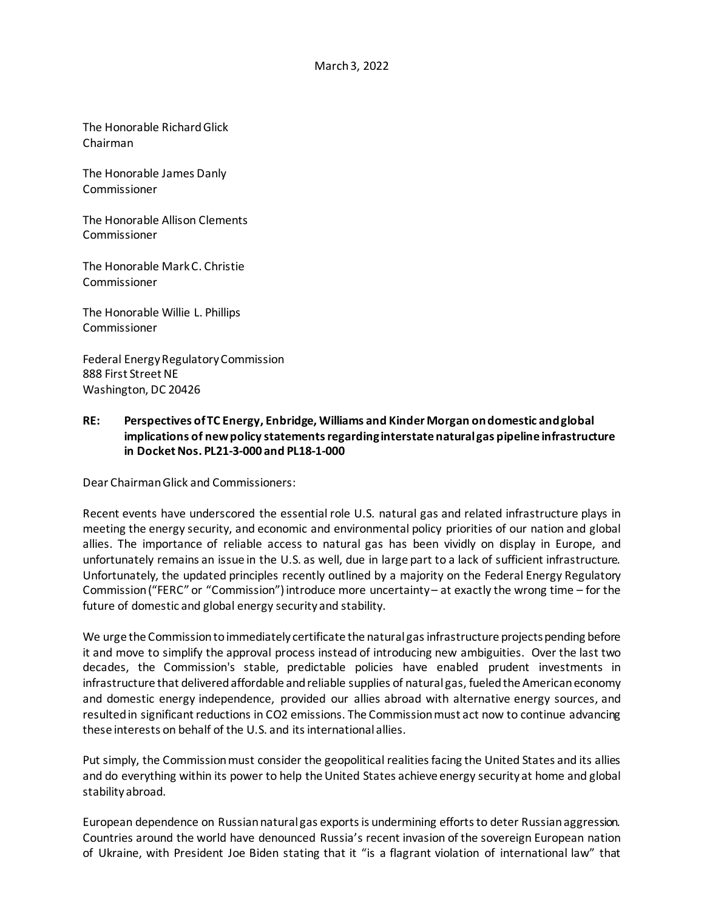The Honorable Richard Glick Chairman

The Honorable James Danly Commissioner

The Honorable Allison Clements Commissioner

The Honorable Mark C. Christie Commissioner

The Honorable Willie L. Phillips Commissioner

Federal Energy Regulatory Commission 888 First Street NE Washington, DC 20426

## **RE: Perspectives of TC Energy, Enbridge, Williams and Kinder Morgan on domestic and global implications of new policy statements regarding interstate natural gas pipeline infrastructure in Docket Nos. PL21-3-000 and PL18-1-000**

Dear Chairman Glick and Commissioners:

Recent events have underscored the essential role U.S. natural gas and related infrastructure plays in meeting the energy security, and economic and environmental policy priorities of our nation and global allies. The importance of reliable access to natural gas has been vividly on display in Europe, and unfortunately remains an issue in the U.S. as well, due in large part to a lack of sufficient infrastructure. Unfortunately, the updated principles recently outlined by a majority on the Federal Energy Regulatory Commission ("FERC" or "Commission")introduce more uncertainty – at exactly the wrong time – for the future of domestic and global energy security and stability.

We urge the Commissionto immediately certificate the natural gas infrastructure projects pending before it and move to simplify the approval process instead of introducing new ambiguities. Over the last two decades, the Commission's stable, predictable policies have enabled prudent investments in infrastructure that delivered affordable and reliable supplies of natural gas, fueled the American economy and domestic energy independence, provided our allies abroad with alternative energy sources, and resulted in significant reductions in CO2 emissions. The Commission must act now to continue advancing these interests on behalf of the U.S. and its international allies.

Put simply, the Commissionmust consider the geopolitical realities facing the United States and its allies and do everything within its power to help the United States achieve energy security at home and global stability abroad.

European dependence on Russian natural gas exports is undermining efforts to deter Russian aggression. Countries around the world have denounced Russia's recent invasion of the sovereign European nation of Ukraine, with President Joe Biden stating that it "is a flagrant violation of international law" that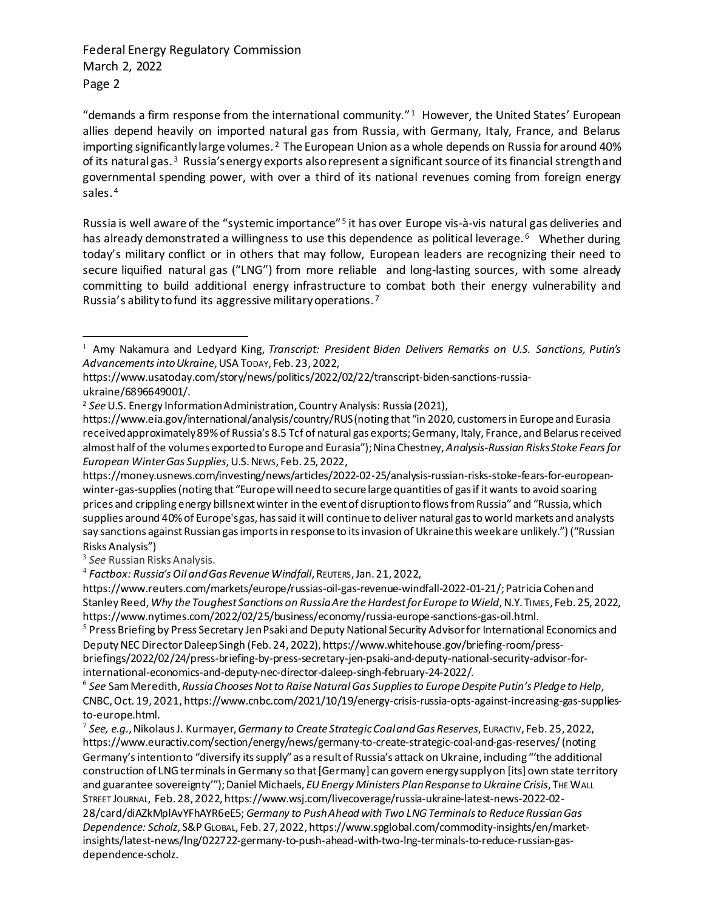"demands a firm response from the international community." [1](#page-1-0) However, the United States' European allies depend heavily on imported natural gas from Russia, with Germany, Italy, France, and Belarus importing significantly large volumes.  $2$  The European Union as a whole depends on Russia for around 40% of its natural gas. [3](#page-1-2) Russia's energy exports also represent a significant source of its financial strength and governmental spending power, with over a third of its national revenues coming from foreign energy sales.<sup>[4](#page-1-3)</sup>

Russia is well aware of the "systemic importance" [5](#page-1-4) it has over Europe vis-à-vis natural gas deliveries and has already demonstrated a willingness to use this dependence as political leverage.<sup>[6](#page-1-5)</sup> Whether during today's military conflict or in others that may follow, European leaders are recognizing their need to secure liquified natural gas ("LNG") from more reliable and long-lasting sources, with some already committing to build additional energy infrastructure to combat both their energy vulnerability and Russia's ability to fund its aggressive military operations. [7](#page-1-6)

https://www.reuters.com/markets/europe/russias-oil-gas-revenue-windfall-2022-01-21/; Patricia Cohen and Stanley Reed, *Why the Toughest Sanctions on Russia Are the Hardest for Europe to Wield*, N.Y. TIMES, Feb. 25, 2022, https://www.nytimes.com/2022/02/25/business/economy/russia-europe-sanctions-gas-oil.html.

<span id="page-1-4"></span><sup>5</sup> Press Briefing by Press Secretary Jen Psaki and Deputy National Security Advisor for International Economics and Deputy NEC Director Daleep Singh (Feb. 24, 2022), https://www.whitehouse.gov/briefing-room/pressbriefings/2022/02/24/press-briefing-by-press-secretary-jen-psaki-and-deputy-national-security-advisor-forinternational-economics-and-deputy-nec-director-daleep-singh-february-24-2022/.

<span id="page-1-5"></span><sup>6</sup> *See* Sam Meredith, *Russia Chooses Not to Raise Natural Gas Supplies to Europe Despite Putin's Pledge to Help*, CNBC, Oct. 19, 2021, https://www.cnbc.com/2021/10/19/energy-crisis-russia-opts-against-increasing-gas-suppliesto-europe.html.

<span id="page-1-6"></span><sup>7</sup> *See, e.g.*, Nikolaus J. Kurmayer, *Germany to Create Strategic Coal and Gas Reserves*, EURACTIV, Feb. 25, 2022, https://www.euractiv.com/section/energy/news/germany-to-create-strategic-coal-and-gas-reserves/ (noting Germany's intention to "diversify its supply" as a result of Russia's attack on Ukraine, including "'the additional construction of LNG terminals in Germany so that [Germany] can govern energy supply on [its] own state territory and guarantee sovereignty"'); Daniel Michaels, *EU Energy Ministers Plan Response to Ukraine Crisis*, THE WALL STREET JOURNAL, Feb. 28, 2022, https://www.wsj.com/livecoverage/russia-ukraine-latest-news-2022-02- 28/card/diAZkMplAvYFhAYR6eE5; *Germany to Push Ahead with Two LNG Terminals to Reduce Russian Gas Dependence: Scholz*, S&P GLOBAL, Feb. 27, 2022, https://www.spglobal.com/commodity-insights/en/marketinsights/latest-news/lng/022722-germany-to-push-ahead-with-two-lng-terminals-to-reduce-russian-gasdependence-scholz.

<span id="page-1-0"></span><sup>1</sup> Amy Nakamura and Ledyard King, *Transcript: President Biden Delivers Remarks on U.S. Sanctions, Putin's Advancements into Ukraine*, USA TODAY, Feb. 23, 2022,

https://www.usatoday.com/story/news/politics/2022/02/22/transcript-biden-sanctions-russiaukraine/6896649001/.

<span id="page-1-1"></span><sup>2</sup> *See*U.S. Energy Information Administration, Country Analysis: Russia (2021),

https://www.eia.gov/international/analysis/country/RUS(noting that "in 2020, customers in Europe and Eurasia received approximately 89% of Russia's 8.5 Tcf of natural gas exports[;Germany](https://www.eia.gov/international/analysis/country/GRM), [Italy,](https://www.eia.gov/international/analysis/country/ITA) France, and Belarus received almost half of the volumes exported to Europe and Eurasia"); Nina Chestney, *Analysis-Russian Risks Stoke Fears for European Winter Gas Supplies*, U.S.NEWS, Feb. 25, 2022,

https://money.usnews.com/investing/news/articles/2022-02-25/analysis-russian-risks-stoke-fears-for-europeanwinter-gas-supplies(noting that "Europe will need to secure large quantities of gas if it wants to avoid soaring prices and crippling energy bills next winter in the event of disruption to flows from Russia" and "Russia, which supplies around 40% of Europe's gas, has said it will continue to deliver natural gas to world markets and analysts say sanctions against Russian gas imports in response to its invasion of Ukraine this week are unlikely.") ("Russian Risks Analysis")

<span id="page-1-2"></span><sup>3</sup> *See* Russian Risks Analysis.

<span id="page-1-3"></span><sup>4</sup> *Factbox: Russia's Oil and Gas Revenue Windfall*, REUTERS, Jan. 21, 2022,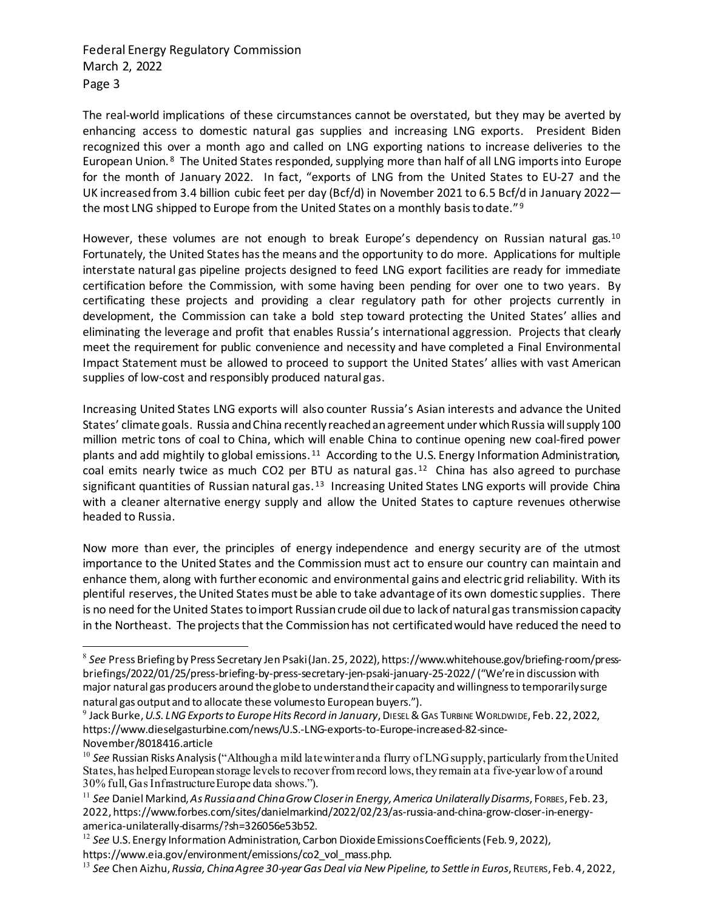The real-world implications of these circumstances cannot be overstated, but they may be averted by enhancing access to domestic natural gas supplies and increasing LNG exports. President Biden recognized this over a month ago and called on LNG exporting nations to increase deliveries to the European Union. [8](#page-2-0) The United States responded, supplying more than half of all LNG imports into Europe for the month of January 2022. In fact, "exports of LNG from the United States to EU-27 and the UK [increased from 3.4 billion cubic feet per day](https://www.eia.gov/todayinenergy/detail.php?id=51358&src=email) (Bcf/d) in November 2021 to 6.5 Bcf/d in January 2022— the most LNG shipped to Europe from the United States on a monthly basis to date."<sup>[9](#page-2-1)</sup>

However, these volumes are not enough to break Europe's dependency on Russian natural gas.<sup>[10](#page-2-2)</sup> Fortunately, the United States has the means and the opportunity to do more. Applications for multiple interstate natural gas pipeline projects designed to feed LNG export facilities are ready for immediate certification before the Commission, with some having been pending for over one to two years. By certificating these projects and providing a clear regulatory path for other projects currently in development, the Commission can take a bold step toward protecting the United States' allies and eliminating the leverage and profit that enables Russia's international aggression. Projects that clearly meet the requirement for public convenience and necessity and have completed a Final Environmental Impact Statement must be allowed to proceed to support the United States' allies with vast American supplies of low-cost and responsibly produced natural gas.

Increasing United States LNG exports will also counter Russia's Asian interests and advance the United States' climate goals. Russia andChina recently reached an agreement under which Russia will supply 100 million metric tons of coal to China, which will enable China to continue opening new coal-fired power plants and add mightily to global emissions.<sup>[11](#page-2-3)</sup> According to the U.S. Energy Information Administration, coal emits nearly twice as much CO2 per BTU as natural gas.<sup>[12](#page-2-4)</sup> China has also agreed to purchase significant quantities of Russian natural gas.<sup>[13](#page-2-5)</sup> Increasing United States LNG exports will provide China with a cleaner alternative energy supply and allow the United States to capture revenues otherwise headed to Russia.

Now more than ever, the principles of energy independence and energy security are of the utmost importance to the United States and the Commission must act to ensure our country can maintain and enhance them, along with further economic and environmental gains and electric grid reliability. With its plentiful reserves, the United States must be able to take advantage of its own domestic supplies. There is no need for the United States to import Russian crude oil due to lack of natural gas transmission capacity in the Northeast. The projects that the Commission has not certificatedwould have reduced the need to

<span id="page-2-0"></span><sup>8</sup> *See* Press Briefing by Press Secretary Jen Psaki (Jan. 25, 2022), https://www.whitehouse.gov/briefing-room/pressbriefings/2022/01/25/press-briefing-by-press-secretary-jen-psaki-january-25-2022/ ("We're in discussion with major natural gas producers around the globe to understand their capacity and willingness to temporarily surge natural gas output and to allocate these volumes to European buyers.").

<span id="page-2-1"></span><sup>&</sup>lt;sup>9</sup> Jack Burke, *U.S. LNG Exports to Europe Hits Record in January*, DIESEL & GAS TURBINE WORLDWIDE, Feb. 22, 2022, https://www.dieselgasturbine.com/news/U.S.-LNG-exports-to-Europe-increased-82-since-November/8018416.article

<span id="page-2-2"></span><sup>&</sup>lt;sup>10</sup> See Russian Risks Analysis ("Although a mild late winter and a flurry of LNG supply, particularly from the United States, has helped European storage levels to recover from record lows, they remain at a five-year low of around 30% full, Gas Infrastructure Europe data shows.").

<span id="page-2-3"></span><sup>11</sup> *See* Daniel Markind, *As Russia and China Grow Closer in Energy, America Unilaterally Disarms*, FORBES, Feb. 23, 2022, https://www.forbes.com/sites/danielmarkind/2022/02/23/as-russia-and-china-grow-closer-in-energyamerica-unilaterally-disarms/?sh=326056e53b52.

<span id="page-2-4"></span><sup>&</sup>lt;sup>12</sup> See U.S. Energy Information Administration, Carbon Dioxide Emissions Coefficients (Feb. 9, 2022),

https://www.eia.gov/environment/emissions/co2\_vol\_mass.php.

<span id="page-2-5"></span><sup>13</sup> *See* Chen Aizhu, *Russia, China Agree 30-year Gas Deal via New Pipeline, to Settle in Euros*, REUTERS, Feb. 4, 2022,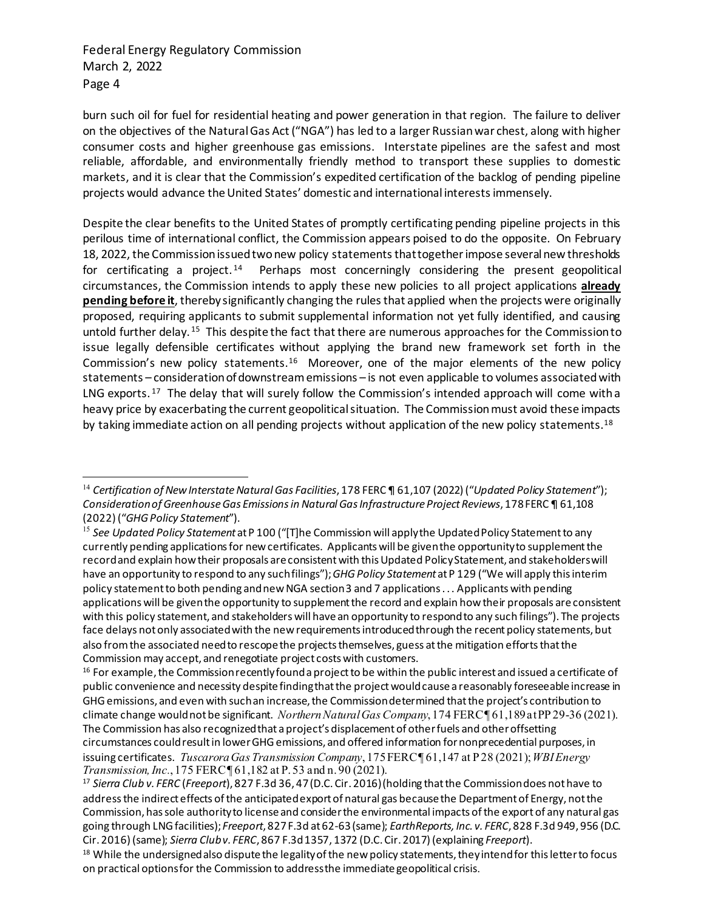burn such oil for fuel for residential heating and power generation in that region. The failure to deliver on the objectives of the Natural Gas Act ("NGA") has led to a larger Russian war chest, along with higher consumer costs and higher greenhouse gas emissions. Interstate pipelines are the safest and most reliable, affordable, and environmentally friendly method to transport these supplies to domestic markets, and it is clear that the Commission's expedited certification of the backlog of pending pipeline projects would advance the United States' domestic and international interests immensely.

Despite the clear benefits to the United States of promptly certificating pending pipeline projects in this perilous time of international conflict, the Commission appears poised to do the opposite. On February 18, 2022, the Commission issued two new policy statements that together impose several new thresholds for certificating a project.<sup>[14](#page-3-0)</sup> Perhaps most concerningly considering the present geopolitical circumstances, the Commission intends to apply these new policies to all project applications **already pending before it**, thereby significantly changing the rules that applied when the projects were originally proposed, requiring applicants to submit supplemental information not yet fully identified, and causing untold further delay. [15](#page-3-1) This despite the fact that there are numerous approaches for the Commission to issue legally defensible certificates without applying the brand new framework set forth in the Commission's new policy statements.[16](#page-3-2) Moreover, one of the major elements of the new policy statements – consideration of downstream emissions – is not even applicable to volumes associated with LNG exports.<sup>[17](#page-3-3)</sup> The delay that will surely follow the Commission's intended approach will come with a heavy price by exacerbating the current geopolitical situation. The Commission must avoid these impacts by taking immediate action on all pending projects without application of the new policy statements.<sup>[18](#page-3-4)</sup>

<span id="page-3-0"></span><sup>14</sup> *Certification of New Interstate Natural Gas Facilities*, 178 FERC ¶ 61,107 (2022) ("*Updated Policy Statement*"); *Consideration of Greenhouse Gas Emissions in Natural Gas Infrastructure Project Reviews*, 178 FERC ¶ 61,108 (2022) ("*GHG Policy Statement*").

<span id="page-3-1"></span><sup>15</sup> *See Updated Policy Statement* at P 100 ("[T]he Commission will apply the Updated Policy Statement to any currently pending applications for new certificates. Applicants will be given the opportunity to supplement the record and explain how their proposals are consistent with this Updated Policy Statement, and stakeholders will have an opportunity to respond to any such filings"); *GHG Policy Statement* at P 129 ("We will apply this interim policy statement to both pending and new NGA section 3 and 7 applications . . . Applicants with pending applications will be given the opportunity to supplement the record and explain how their proposals are consistent with this policy statement, and stakeholders will have an opportunity to respond to any such filings"). The projects face delays not only associated with the new requirements introduced through the recent policy statements, but also from the associated need to rescope the projects themselves, guess at the mitigation efforts that the Commission may accept, and renegotiate project costs with customers.<br><sup>16</sup> For example, the Commission recently found a project to be within the public interest and issued a certificate of

<span id="page-3-2"></span>public convenience and necessity despite finding that the project would cause a reasonably foreseeable increase in GHG emissions, and even with such an increase, the Commission determined that the project's contribution to climate change would not be significant. *Northern Natural Gas Company*, 174 FERC ¶ 61,189 at PP 29-36 (2021). The Commission has also recognized that a project's displacement of other fuels and other offsetting circumstances could result in lower GHG emissions, and offered information for nonprecedential purposes, in issuing certificates. *Tuscarora Gas Transmission Company*, 175 FERC ¶ 61,147 at P 28 (2021); *WBI Energy Transmission, Inc.*, 175 FERC ¶ 61,182 at P. 53 and n. 90 (2021).

<span id="page-3-3"></span><sup>17</sup> *Sierra Club v. FERC* (*Freeport*), 827 F.3d 36, 47 (D.C. Cir. 2016) (holding that the Commission does not have to address the indirect effects of the anticipated export of natural gas because the Department of Energy, not the Commission, has sole authority to license and consider the environmental impacts of the export of any natural gas going through LNG facilities); *Freeport*, 827 F.3d at 62-63 (same); *EarthReports, Inc. v. FERC*, 828 F.3d 949, 956 (D.C. Cir. 2016) (same); *Sierra Club v. FERC*, 867 F.3d 1357, 1372 (D.C. Cir. 2017) (explaining *Freeport*).

<span id="page-3-4"></span><sup>&</sup>lt;sup>18</sup> While the undersigned also dispute the legality of the new policy statements, they intend for this letter to focus on practical options for the Commission to address the immediate geopolitical crisis.